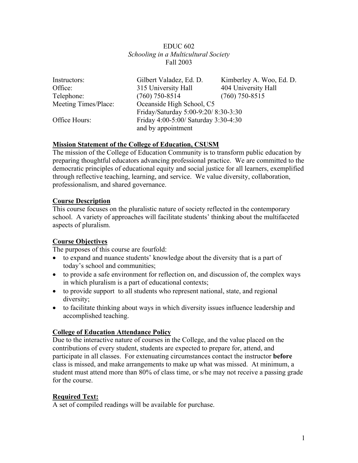### EDUC 602 *Schooling in a Multicultural Society*  Fall 2003

| Instructors:                                          | Gilbert Valadez, Ed. D.             | Kimberley A. Woo, Ed. D. |
|-------------------------------------------------------|-------------------------------------|--------------------------|
| Office:                                               | 315 University Hall                 | 404 University Hall      |
| Telephone:                                            | $(760)$ 750-8514                    | $(760)$ 750-8515         |
| Meeting Times/Place:                                  | Oceanside High School, C5           |                          |
|                                                       | Friday/Saturday 5:00-9:20/8:30-3:30 |                          |
| Friday 4:00-5:00/ Saturday 3:30-4:30<br>Office Hours: |                                     |                          |
|                                                       | and by appointment                  |                          |

### **Mission Statement of the College of Education, CSUSM**

The mission of the College of Education Community is to transform public education by preparing thoughtful educators advancing professional practice. We are committed to the democratic principles of educational equity and social justice for all learners, exemplified through reflective teaching, learning, and service. We value diversity, collaboration, professionalism, and shared governance.

### **Course Description**

This course focuses on the pluralistic nature of society reflected in the contemporary school. A variety of approaches will facilitate students' thinking about the multifaceted aspects of pluralism.

### **Course Objectives**

The purposes of this course are fourfold:

- to expand and nuance students' knowledge about the diversity that is a part of today's school and communities;
- to provide a safe environment for reflection on, and discussion of, the complex ways in which pluralism is a part of educational contexts;
- to provide support to all students who represent national, state, and regional diversity;
- to facilitate thinking about ways in which diversity issues influence leadership and accomplished teaching.

### **College of Education Attendance Policy**

Due to the interactive nature of courses in the College, and the value placed on the contributions of every student, students are expected to prepare for, attend, and participate in all classes. For extenuating circumstances contact the instructor **before** class is missed, and make arrangements to make up what was missed. At minimum, a student must attend more than 80% of class time, or s/he may not receive a passing grade for the course.

# **Required Text:**

A set of compiled readings will be available for purchase.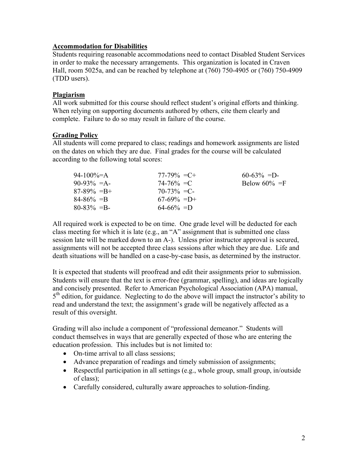### **Accommodation for Disabilities**

Students requiring reasonable accommodations need to contact Disabled Student Services in order to make the necessary arrangements. This organization is located in Craven Hall, room 5025a, and can be reached by telephone at (760) 750-4905 or (760) 750-4909 (TDD users).

### **Plagiarism**

All work submitted for this course should reflect student's original efforts and thinking. When relying on supporting documents authored by others, cite them clearly and complete. Failure to do so may result in failure of the course.

#### **Grading Policy**

All students will come prepared to class; readings and homework assignments are listed on the dates on which they are due. Final grades for the course will be calculated according to the following total scores:

| 94-100%=A       | $77-79\% = C +$ | $60-63\% = D$    |
|-----------------|-----------------|------------------|
| $90-93\% = A$   | $74 - 76\% = C$ | Below $60\% = F$ |
| $87-89\% = B +$ | $70-73\% = C$   |                  |
| $84 - 86\% = B$ | $67-69\% = D+$  |                  |
| $80 - 83\% = B$ | $64-66\% = D$   |                  |

All required work is expected to be on time. One grade level will be deducted for each class meeting for which it is late (e.g., an "A" assignment that is submitted one class session late will be marked down to an A-). Unless prior instructor approval is secured, assignments will not be accepted three class sessions after which they are due. Life and death situations will be handled on a case-by-case basis, as determined by the instructor.

It is expected that students will proofread and edit their assignments prior to submission. Students will ensure that the text is error-free (grammar, spelling), and ideas are logically and concisely presented. Refer to American Psychological Association (APA) manual,  $5<sup>th</sup>$  edition, for guidance. Neglecting to do the above will impact the instructor's ability to read and understand the text; the assignment's grade will be negatively affected as a result of this oversight.

Grading will also include a component of "professional demeanor." Students will conduct themselves in ways that are generally expected of those who are entering the education profession. This includes but is not limited to:

- On-time arrival to all class sessions;
- Advance preparation of readings and timely submission of assignments;
- Respectful participation in all settings (e.g., whole group, small group, in/outside of class);
- Carefully considered, culturally aware approaches to solution-finding.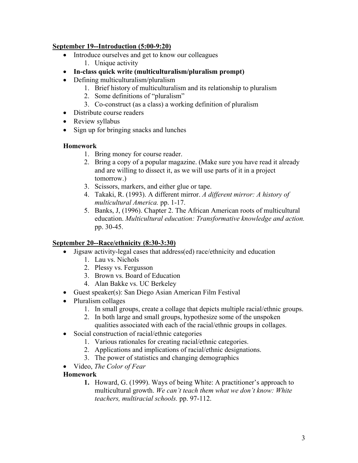### **September 19--Introduction (5:00-9:20)**

- Introduce ourselves and get to know our colleagues
	- 1. Unique activity
- **In-class quick write (multiculturalism/pluralism prompt)**
- Defining multiculturalism/pluralism
	- 1. Brief history of multiculturalism and its relationship to pluralism
	- 2. Some definitions of "pluralism"
	- 3. Co-construct (as a class) a working definition of pluralism
- Distribute course readers
- Review syllabus
- Sign up for bringing snacks and lunches

# **Homework**

- 1. Bring money for course reader.
- 2. Bring a copy of a popular magazine. (Make sure you have read it already and are willing to dissect it, as we will use parts of it in a project tomorrow.)
- 3. Scissors, markers, and either glue or tape.
- 4. Takaki, R. (1993). A different mirror. *A different mirror: A history of multicultural America.* pp. 1-17.
- 5. Banks, J, (1996). Chapter 2. The African American roots of multicultural education. *Multicultural education: Transformative knowledge and action.* pp. 30-45.

# **September 20--Race/ethnicity (8:30-3:30)**

- Jigsaw activity-legal cases that address(ed) race/ethnicity and education
	- 1. Lau vs. Nichols
	- 2. Plessy vs. Fergusson
	- 3. Brown vs. Board of Education
	- 4. Alan Bakke vs. UC Berkeley
- Guest speaker(s): San Diego Asian American Film Festival
- Pluralism collages
	- 1. In small groups, create a collage that depicts multiple racial/ethnic groups.
	- 2. In both large and small groups, hypothesize some of the unspoken qualities associated with each of the racial/ethnic groups in collages.
- Social construction of racial/ethnic categories
	- 1. Various rationales for creating racial/ethnic categories.
	- 2. Applications and implications of racial/ethnic designations.
	- 3. The power of statistics and changing demographics
- Video, *The Color of Fear*
- **Homework** 
	- **1.** Howard, G. (1999). Ways of being White: A practitioner's approach to multicultural growth. *We can't teach them what we don't know: White teachers, multiracial schools.* pp. 97-112.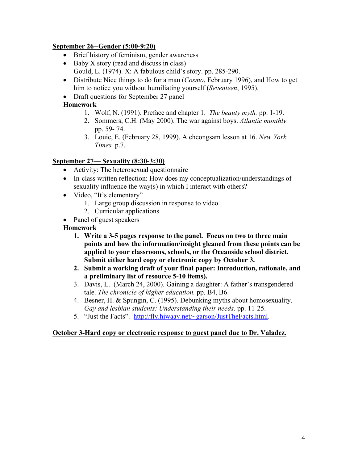# **September 26--Gender (5:00-9:20)**

- Brief history of feminism, gender awareness
- Baby X story (read and discuss in class) Gould, L. (1974). X: A fabulous child's story. pp. 285-290.
- Distribute Nice things to do for a man (*Cosmo*, February 1996), and How to get him to notice you without humiliating yourself (*Seventeen*, 1995).
- Draft questions for September 27 panel

# **Homework**

- 1. Wolf, N. (1991). Preface and chapter 1. *The beauty myth.* pp. 1-19.
- 2. Sommers, C.H. (May 2000). The war against boys. *Atlantic monthly.*  pp. 59- 74.
- 3. Louie, E. (February 28, 1999). A cheongsam lesson at 16. *New York Times.* p.7.

# **September 27— Sexuality (8:30-3:30)**

- Activity: The heterosexual questionnaire
- In-class written reflection: How does my conceptualization/understandings of sexuality influence the way(s) in which I interact with others?
- Video, "It's elementary"
	- 1. Large group discussion in response to video
	- 2. Curricular applications
- Panel of guest speakers

# **Homework**

- **1. Write a 3-5 pages response to the panel. Focus on two to three main points and how the information/insight gleaned from these points can be applied to your classrooms, schools, or the Oceanside school district. Submit either hard copy or electronic copy by October 3.**
- **2. Submit a working draft of your final paper: Introduction, rationale, and a preliminary list of resource 5-10 items).**
- 3. Davis, L. (March 24, 2000). Gaining a daughter: A father's transgendered tale. *The chronicle of higher education.* pp. B4, B6.
- 4. Besner, H. & Spungin, C. (1995). Debunking myths about homosexuality. *Gay and lesbian students: Understanding their needs.* pp. 11-25.
- 5. "Just the Facts". http://fly.hiwaay.net/~garson/JustTheFacts.html.

# **October 3-Hard copy or electronic response to guest panel due to Dr. Valadez.**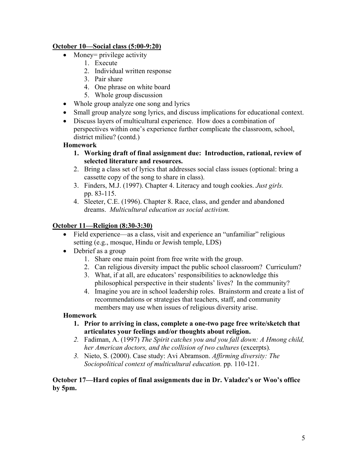# **October 10—Social class (5:00-9:20)**

- Money = privilege activity
	- 1. Execute
	- 2. Individual written response
	- 3. Pair share
	- 4. One phrase on white board
	- 5. Whole group discussion
- Whole group analyze one song and lyrics
- Small group analyze song lyrics, and discuss implications for educational context.
- Discuss layers of multicultural experience. How does a combination of perspectives within one's experience further complicate the classroom, school, district milieu? (contd.)

#### **Homework**

- **1. Working draft of final assignment due: Introduction, rational, review of selected literature and resources.**
- 2. Bring a class set of lyrics that addresses social class issues (optional: bring a cassette copy of the song to share in class).
- 3. Finders, M.J. (1997). Chapter 4. Literacy and tough cookies. *Just girls.* pp. 83-115.
- 4. Sleeter, C.E. (1996). Chapter 8. Race, class, and gender and abandoned dreams. *Multicultural education as social activism.*

### **October 11—Religion (8:30-3:30)**

- Field experience—as a class, visit and experience an "unfamiliar" religious setting (e.g., mosque, Hindu or Jewish temple, LDS)
- Debrief as a group
	- 1. Share one main point from free write with the group.
	- 2. Can religious diversity impact the public school classroom? Curriculum?
	- 3. What, if at all, are educators' responsibilities to acknowledge this philosophical perspective in their students' lives? In the community?
	- 4. Imagine you are in school leadership roles. Brainstorm and create a list of recommendations or strategies that teachers, staff, and community members may use when issues of religious diversity arise.

### **Homework**

- **1. Prior to arriving in class, complete a one-two page free write/sketch that articulates your feelings and/or thoughts about religion.**
- *2.* Fadiman, A. (1997) *The Spirit catches you and you fall down: A Hmong child, her American doctors, and the collision of two cultures (excerpts).*
- *3.* Nieto, S. (2000). Case study: Avi Abramson. *Affirming diversity: The Sociopolitical context of multicultural education.* pp. 110-121.

#### **October 17—Hard copies of final assignments due in Dr. Valadez's or Woo's office by 5pm.**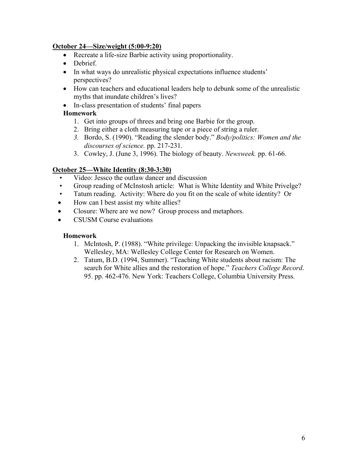### **October 24—Size/weight (5:00-9:20)**

- Recreate a life-size Barbie activity using proportionality.
- Debrief.
- In what ways do unrealistic physical expectations influence students' perspectives?
- How can teachers and educational leaders help to debunk some of the unrealistic myths that inundate children's lives?
- In-class presentation of students' final papers

### **Homework**

- 1. Get into groups of threes and bring one Barbie for the group.
- 2. Bring either a cloth measuring tape or a piece of string a ruler.
- *3.* Bordo, S. (1990). "Reading the slender body." *Body/politics: Women and the discourses of science.* pp. 217-231.
- 3. Cowley, J. (June 3, 1996). The biology of beauty. *Newsweek.* pp. 61-66.

#### **October 25—White Identity (8:30-3:30)**

- Video: Jessco the outlaw dancer and discussion
- Group reading of McInstosh article: What is White Identity and White Privelge?
- Tatum reading. Activity: Where do you fit on the scale of white identity? Or
- How can I best assist my white allies?
- Closure: Where are we now? Group process and metaphors.
- CSUSM Course evaluations

#### **Homework**

- 1. McIntosh, P. (1988). "White privilege: Unpacking the invisible knapsack." Wellesley, MA: Wellesley College Center for Research on Women.
- 2. Tatum, B.D. (1994, Summer). "Teaching White students about racism: The search for White allies and the restoration of hope." *Teachers College Record*. 95. pp. 462-476. New York: Teachers College, Columbia University Press.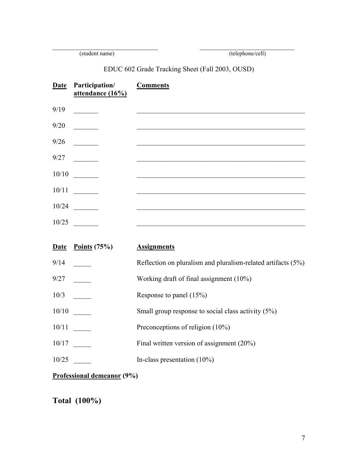(student name) (telephone/cell)

EDUC 602 Grade Tracking Sheet (Fall 2003, OUSD)

| <b>Date</b> | <b>Participation/</b><br>attendance (16%)                                                                                                        | <b>Comments</b>                                                 |
|-------------|--------------------------------------------------------------------------------------------------------------------------------------------------|-----------------------------------------------------------------|
| 9/19        | <u> a shekara ta 199</u>                                                                                                                         |                                                                 |
| 9/20        |                                                                                                                                                  |                                                                 |
| 9/26        |                                                                                                                                                  |                                                                 |
| 9/27        | <u> 1990 - Jan Jawa</u>                                                                                                                          |                                                                 |
| 10/10       | $\mathcal{L} = \mathcal{L}$                                                                                                                      |                                                                 |
| 10/11       |                                                                                                                                                  |                                                                 |
| 10/24       |                                                                                                                                                  |                                                                 |
| 10/25       | $\label{eq:2} \begin{split} \mathcal{L}_{\text{max}}(\mathcal{L}_{\text{max}}) = \mathcal{L}_{\text{max}}(\mathcal{L}_{\text{max}}) \end{split}$ |                                                                 |
|             |                                                                                                                                                  |                                                                 |
| <b>Date</b> | Points $(75%)$                                                                                                                                   | <b>Assignments</b>                                              |
| 9/14        |                                                                                                                                                  | Reflection on pluralism and pluralism-related artifacts $(5\%)$ |
| 9/27        |                                                                                                                                                  | Working draft of final assignment (10%)                         |

10/3 \_\_\_\_\_ Response to panel (15%)

10/10 \_\_\_\_\_ Small group response to social class activity (5%)

10/11 Preconceptions of religion (10%)

10/17 **\_\_\_\_** Final written version of assignment (20%)

10/25 \_\_\_\_\_ In-class presentation (10%)

**Professional demeanor (9%)** 

**Total (100%)**